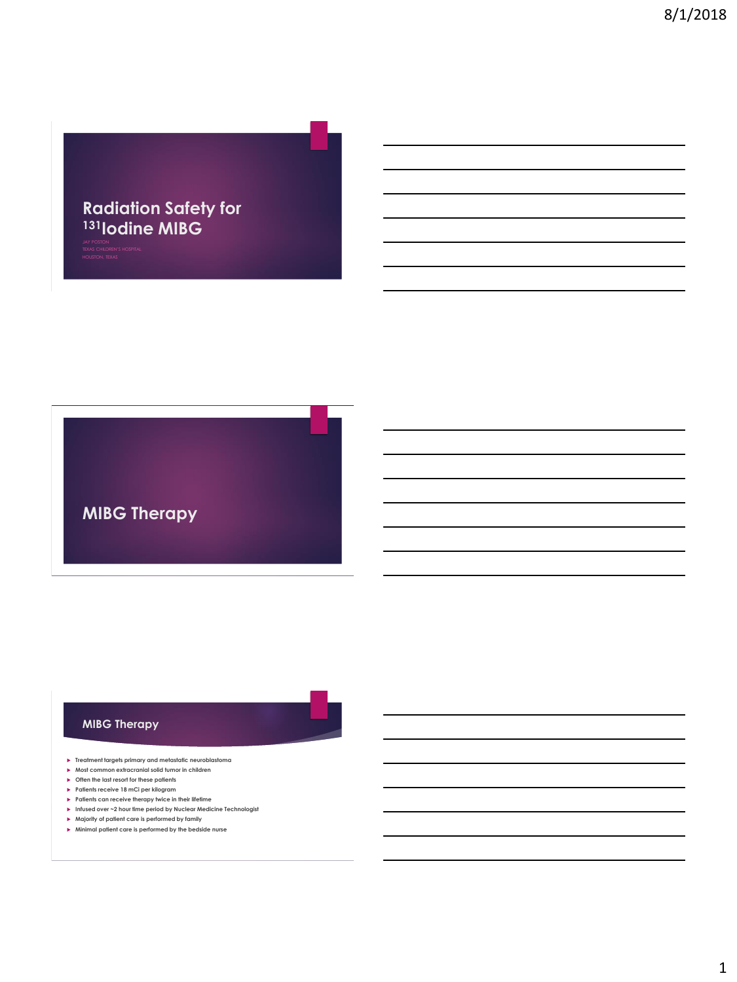### **Radiation Safety for <sup>131</sup>Iodine MIBG**

**MIBG Therapy**

#### **MIBG Therapy**

- **Treatment targets primary and metastatic neuroblastoma**
- **Most common extracranial solid tumor in children Often the last resort for these patients**
- **Patients receive 18 mCi per kilogram**
- **Patients can receive therapy twice in their lifetime**
- **Infused over ~2 hour time period by Nuclear Medicine Technologist**
- **Majority of patient care is performed by family**
- **Minimal patient care is performed by the bedside nurse**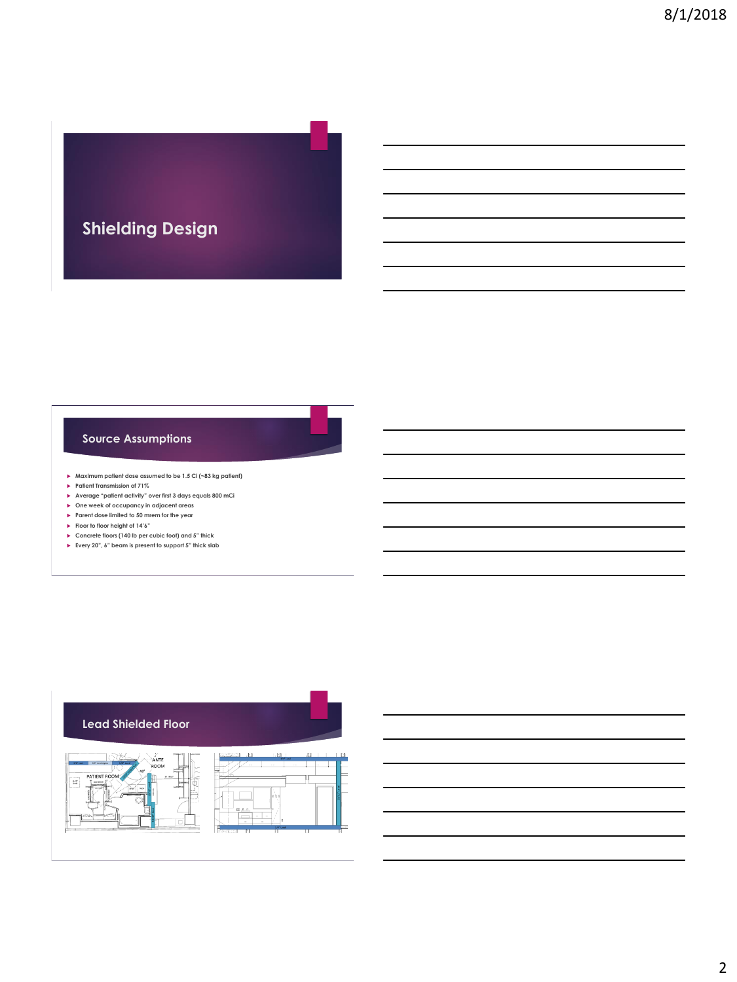# **Shielding Design**

#### **Source Assumptions**

- **Maximum patient dose assumed to be 1.5 Ci (~83 kg patient)**
- **Patient Transmission of 71%**
- **Average "patient activity" over first 3 days equals 800 mCi**
- **One week of occupancy in adjacent areas**
- **Parent dose limited to 50 mrem for the year**
- **Floor to floor height of 14'6"**
- **Concrete floors (140 lb per cubic foot) and 5" thick**
- **Every 20", 6" beam is present to support 5" thick slab**





2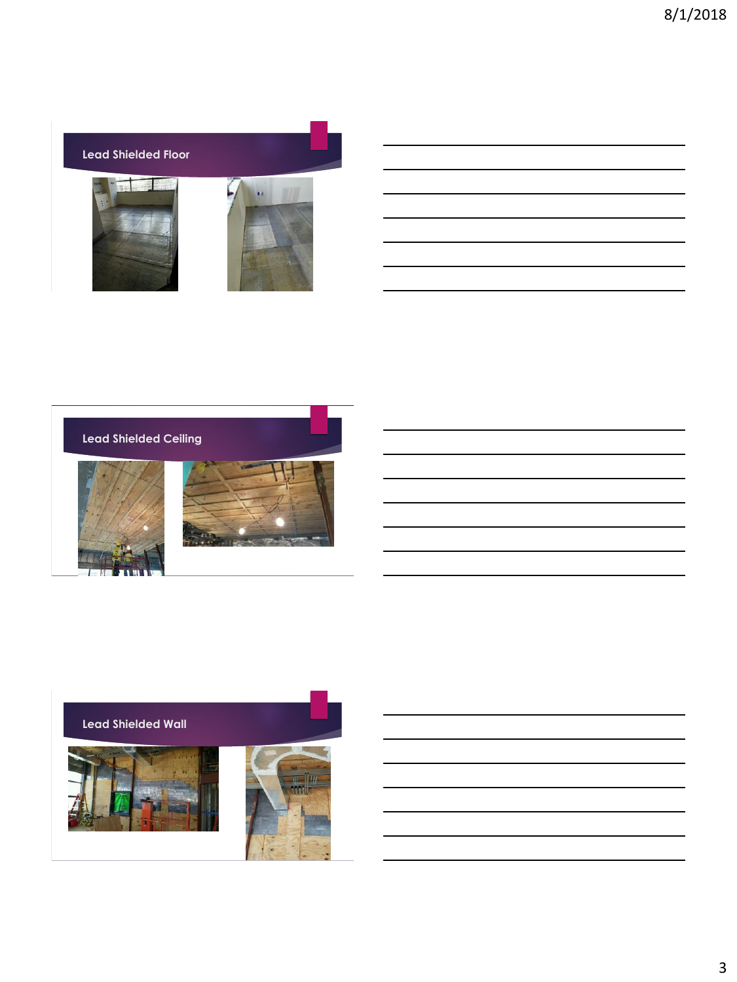

| <b>Lead Shielded Ceiling</b> |  |
|------------------------------|--|
|                              |  |

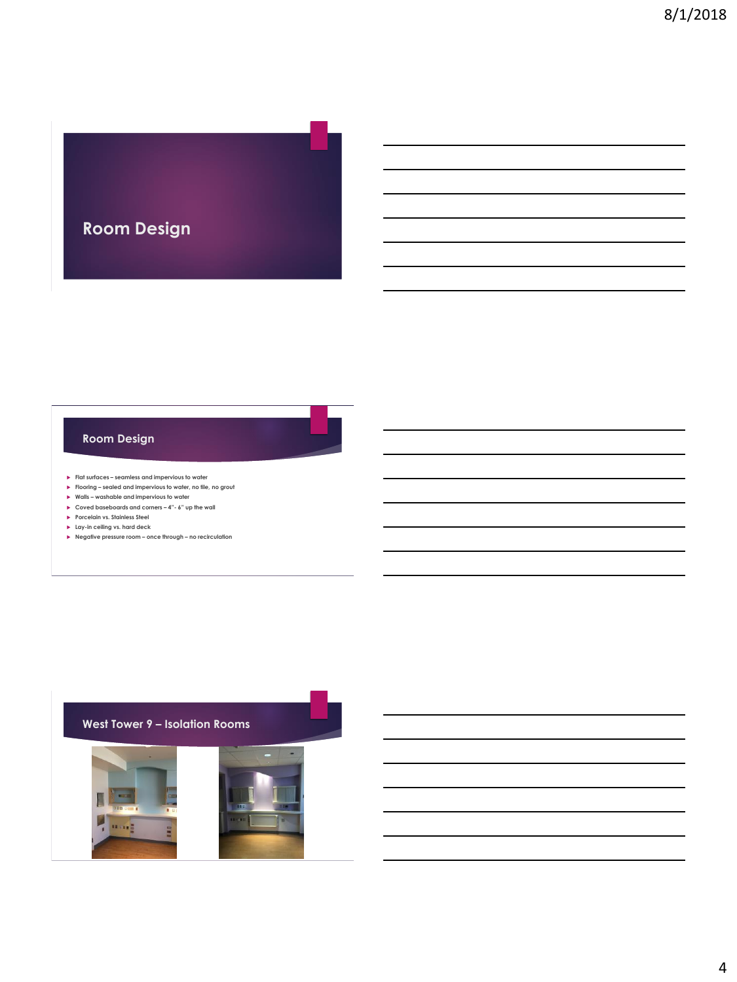

#### **Room Design**

- **Flat surfaces – seamless and impervious to water**
- **Flooring – sealed and impervious to water, no tile, no grout**
- **Walls – washable and impervious to water**
- **Coved baseboards and corners – 4"- 6" up the wall**
- **Porcelain vs. Stainless Steel**
- **Lay-in ceiling vs. hard deck**
- **Negative pressure room – once through – no recirculation**

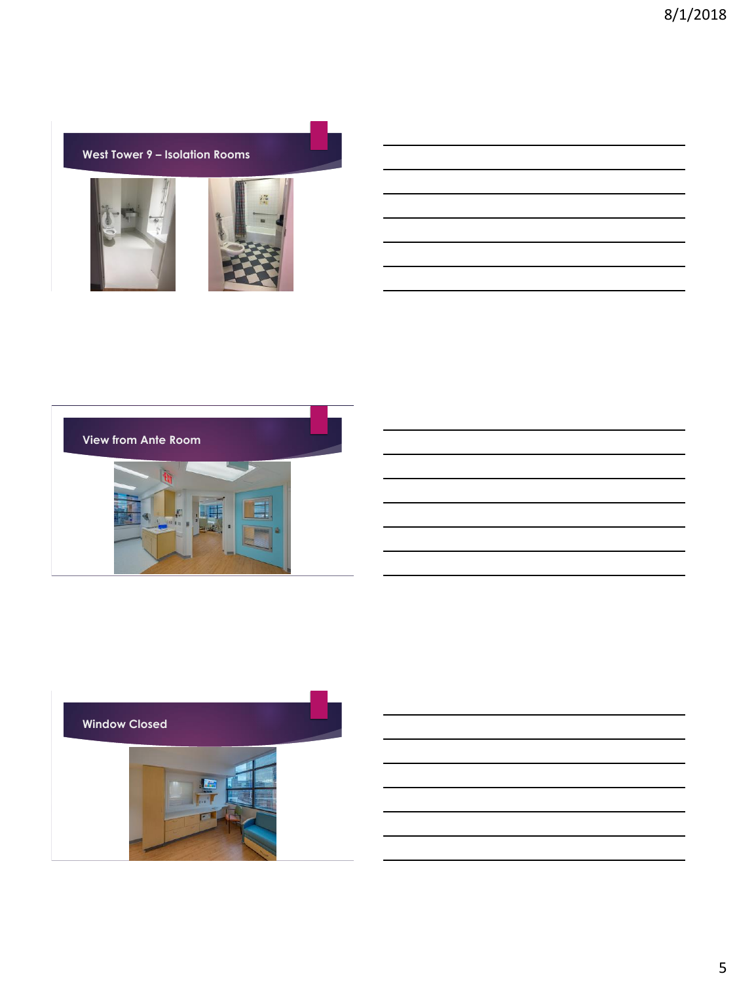$\overline{\phantom{0}}$ 



**View from Ante Room**

| <u> La Carlo de la Carlo de la Carlo de la Carlo de la Carlo de la Carlo de la Carlo de la Carlo de la Carlo de l</u> |  |  |  |
|-----------------------------------------------------------------------------------------------------------------------|--|--|--|
| ____                                                                                                                  |  |  |  |
| ____                                                                                                                  |  |  |  |
|                                                                                                                       |  |  |  |
|                                                                                                                       |  |  |  |

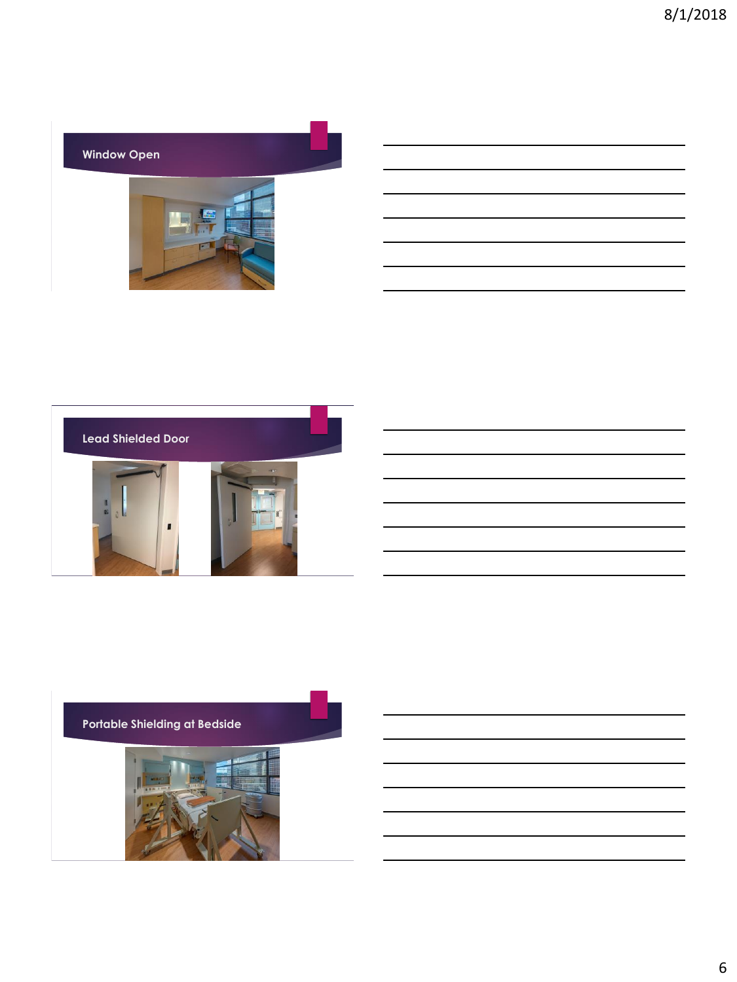

| ,我们也不会有一个人的事情。""我们的人,我们也不会有一个人的人,我们也不会有一个人的人,我们也不会有一个人的人,我们也不会有一个人的人,我们也不会有一个人的人, |  |
|-----------------------------------------------------------------------------------|--|
|                                                                                   |  |
|                                                                                   |  |
|                                                                                   |  |
|                                                                                   |  |
|                                                                                   |  |
|                                                                                   |  |
|                                                                                   |  |
|                                                                                   |  |
|                                                                                   |  |
|                                                                                   |  |
|                                                                                   |  |
|                                                                                   |  |
|                                                                                   |  |
|                                                                                   |  |
|                                                                                   |  |
|                                                                                   |  |
|                                                                                   |  |
|                                                                                   |  |
|                                                                                   |  |
|                                                                                   |  |
|                                                                                   |  |
|                                                                                   |  |
|                                                                                   |  |
|                                                                                   |  |
|                                                                                   |  |



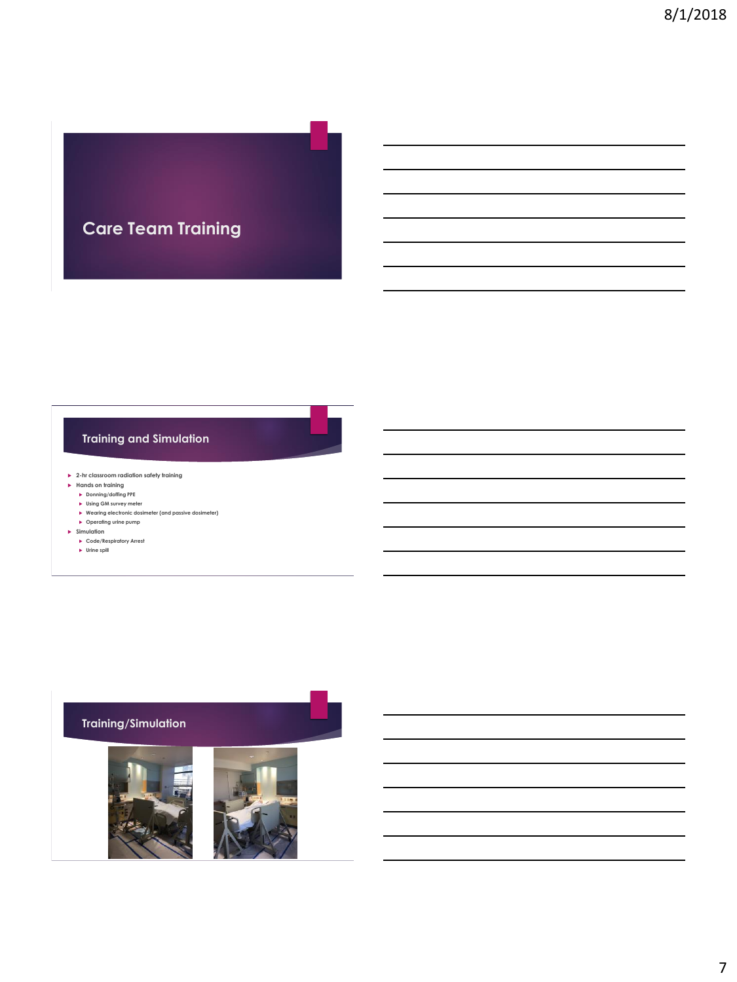## **Care Team Training**

### **Training and Simulation**

**2-hr classroom radiation safety training**

- **Hands on training**
	- **Donning/doffing PPE**
	- **Using GM survey meter Wearing electronic dosimeter (and passive dosimeter) Operating urine pump**
	-
- **Simulation**
	- **Code/Respiratory Arrest**
	- **Urine spill**

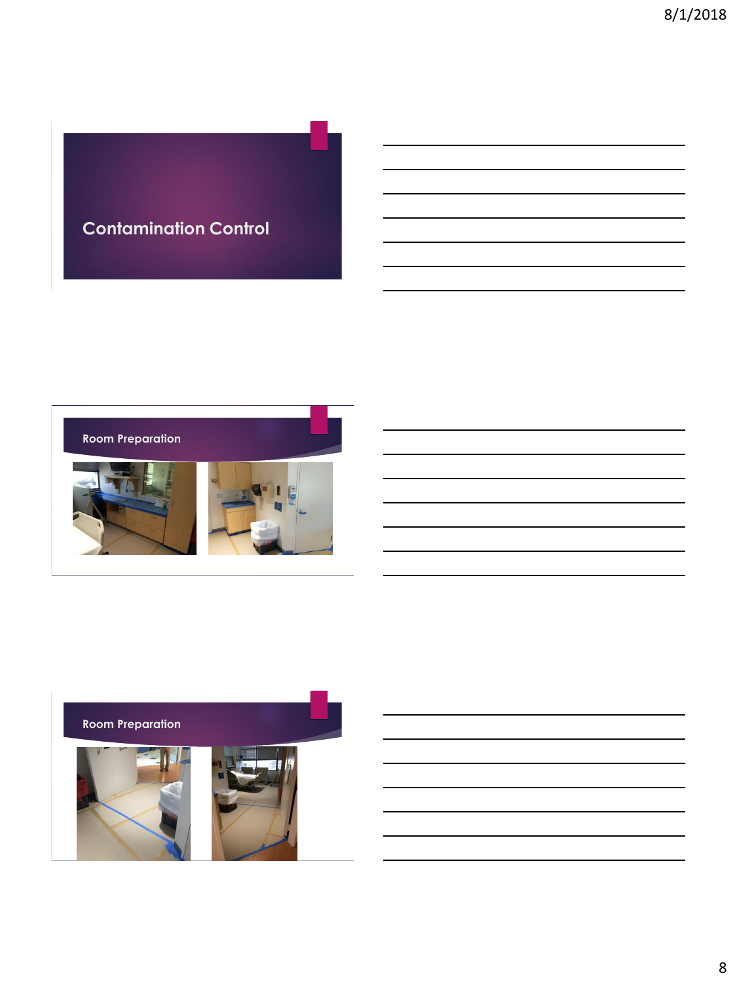## **Contamination Control**



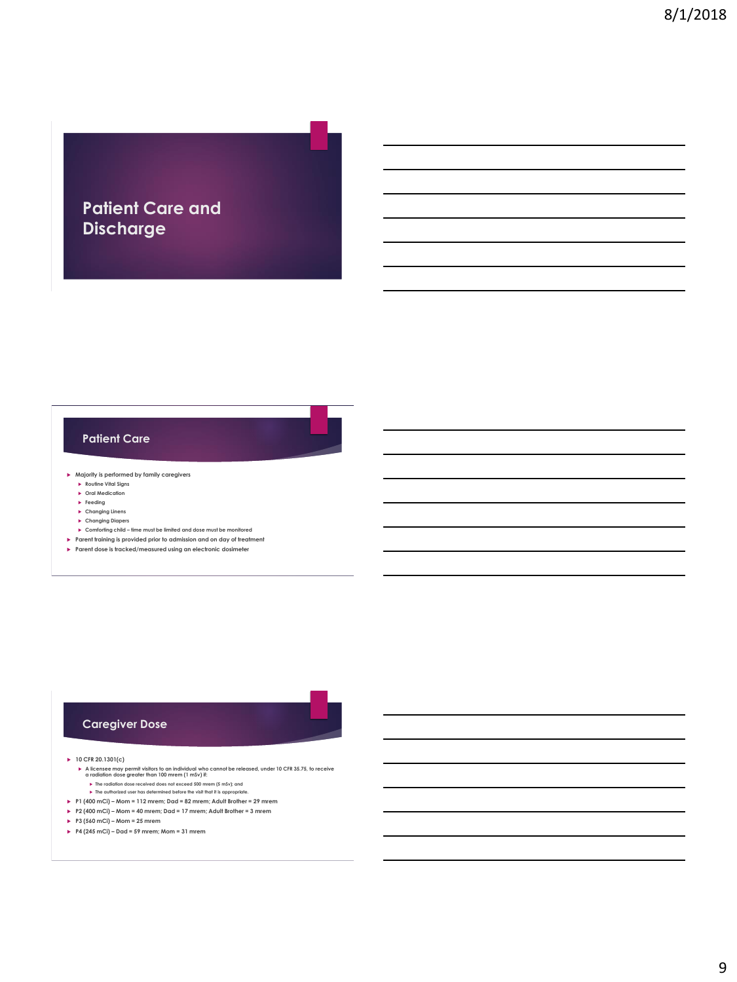### **Patient Care and Discharge**

#### **Patient Care**

**Majority is performed by family caregivers**

- **Routine Vital Signs**
- **Oral Medication**
- **Feeding**
- **Changing Linens**
- **Changing Diapers**
- **Comforting child – time must be limited and dose must be monitored**
- **Parent training is provided prior to admission and on day of treatment**
- **Parent dose is tracked/measured using an electronic dosimeter**

#### **Caregiver Dose**

**10 CFR 20.1301(c)**

- ▶ A licensee may permit visitors to an individual who cannot be released, under 10 CFR 35.75, to receive<br>a radiation dose greater than 100 mrem (1 m3v) #:<br>▶ The radiation dose received does not exceed 500 mrem (5 mSv); an
	- **The authorized user has determined before the visit that it is appropriate.**
- **P1 (400 mCi) – Mom = 112 mrem; Dad = 82 mrem; Adult Brother = 29 mrem**
- **P2 (400 mCi) – Mom = 40 mrem; Dad = 17 mrem; Adult Brother = 3 mrem**
- **P3 (560 mCi) – Mom = 25 mrem**
- **P4 (245 mCi) – Dad = 59 mrem; Mom = 31 mrem**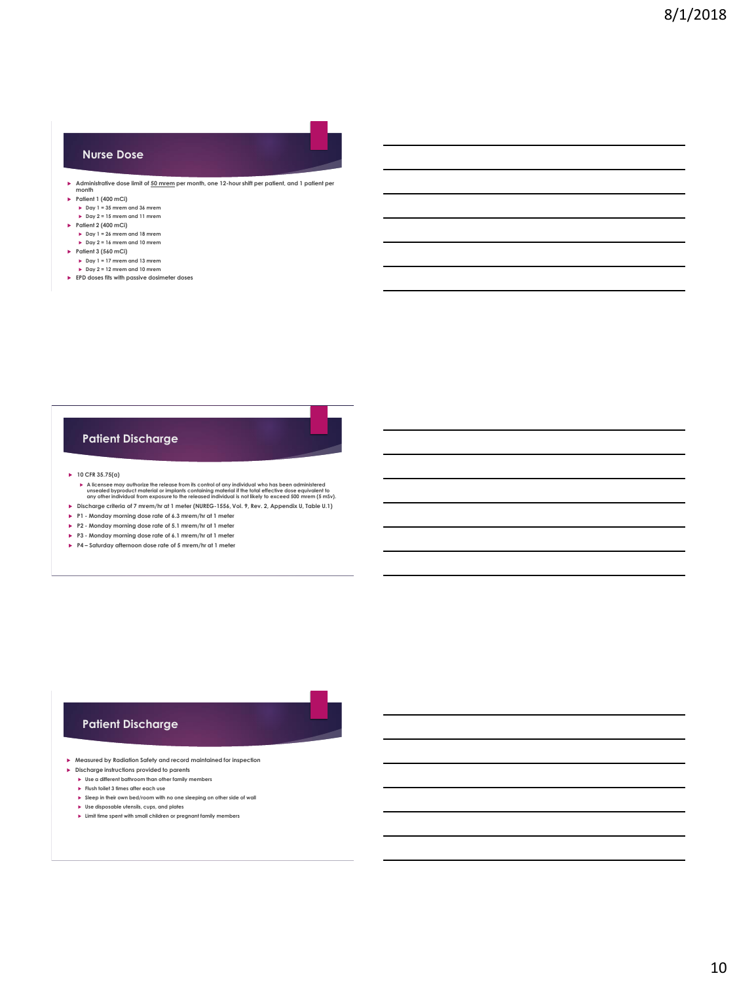

#### **Patient Discharge**

**10 CFR 35.75(a)**

- A licensee may authorize the release from its control of any individual who has been administered<br>unsealed byproduct material or implants containing material if the total effective dose equivalent to<br>any other individual
- **Discharge criteria of 7 mrem/hr at 1 meter (NUREG-1556, Vol. 9, Rev. 2, Appendix U, Table U.1)**

**P1 - Monday morning dose rate of 6.3 mrem/hr at 1 meter**

- **P2 - Monday morning dose rate of 5.1 mrem/hr at 1 meter**
- **P3 - Monday morning dose rate of 6.1 mrem/hr at 1 meter**
- **P4 – Saturday afternoon dose rate of 5 mrem/hr at 1 meter**

#### **Patient Discharge**

**Measured by Radiation Safety and record maintained for inspection**

- **Discharge instructions provided to parents** ► Use a different bathroom than other family members
	- **Flush toilet 3 times after each use**
	- **Sleep in their own bed/room with no one sleeping on other side of wall**
	- **Use disposable utensils, cups, and plates**
	- **Limit time spent with small children or pregnant family members**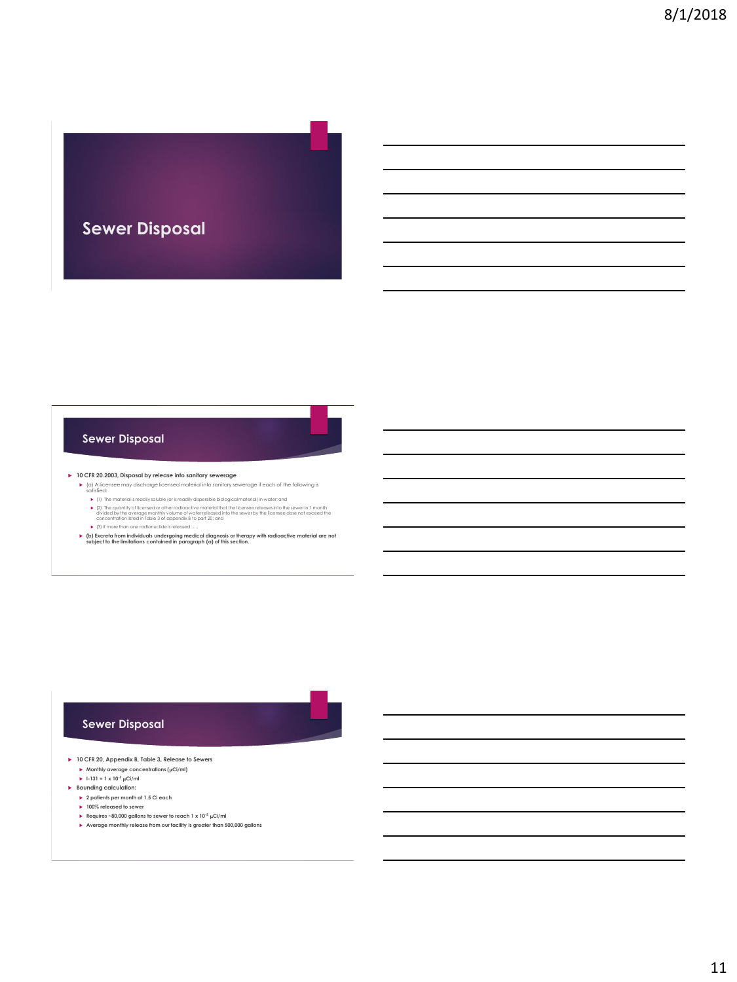

#### **Sewer Disposal**

- **10 CFR 20.2003, Disposal by release into sanitary sewerage**
	- (a) A licensee may discharge licensed material into sanitary sewerage if each of the following is satisfied:
		- $\blacktriangleright$  (1) The materialis readily solution (the isreadily dispersible biological material pin water, and<br> $\blacktriangleright$  (2) The quantity of licensed or other radioactive material that the licensee releases into the sewer in 1 m
	- $\blacktriangleright$  (3) If more than one radionuclide is released
	- **(b) Excreta from individuals undergoing medical diagnosis or therapy with radioactive material are not subject to the limitations contained in paragraph (a) of this section.**

#### **Sewer Disposal**

- **10 CFR 20, Appendix B, Table 3, Release to Sewers Monthly average concentrations (** $\mu$ **Ci/ml)** 
	- $\blacktriangleright$  1-131 = 1 x 10<sup>-5</sup>  $\mu$ Ci/ml
- **Bounding calculation:**
	- **2 patients per month at 1.5 Ci each 100% released to sewer**
	-
	- **►** Requires ~80,000 gallons to sewer to reach 1 x 10<sup>-5</sup> µCi/ml **Average monthly release from our facility is greater than 500,000 gallons**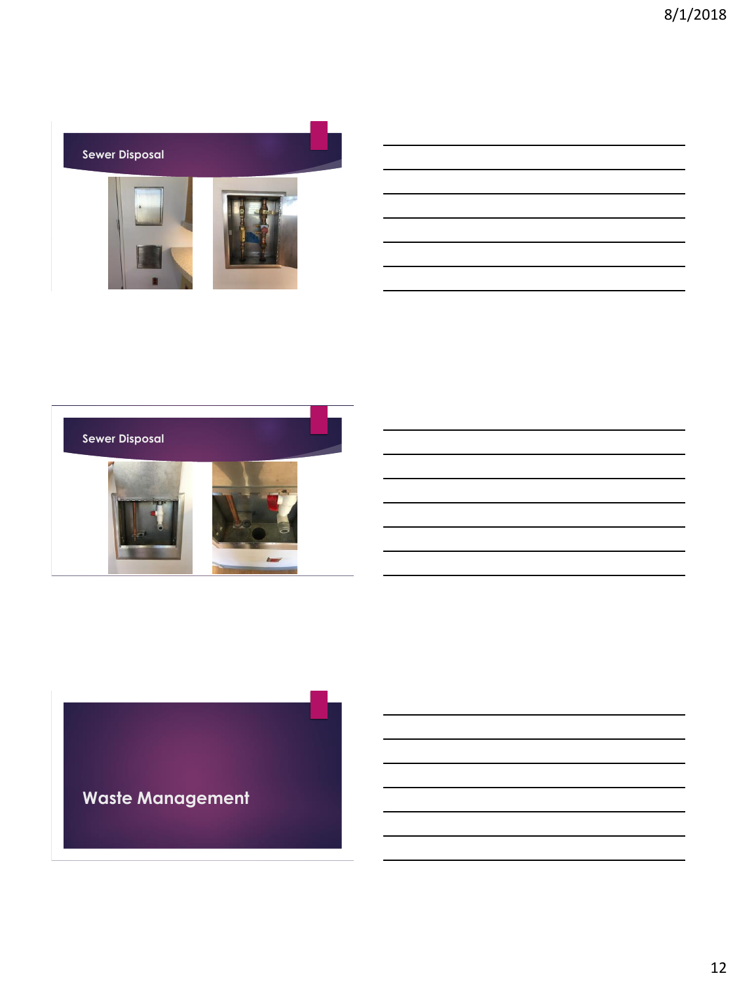

| the contract of the contract of the contract of the contract of the contract of |  |  |  |
|---------------------------------------------------------------------------------|--|--|--|
|                                                                                 |  |  |  |
|                                                                                 |  |  |  |
|                                                                                 |  |  |  |
|                                                                                 |  |  |  |



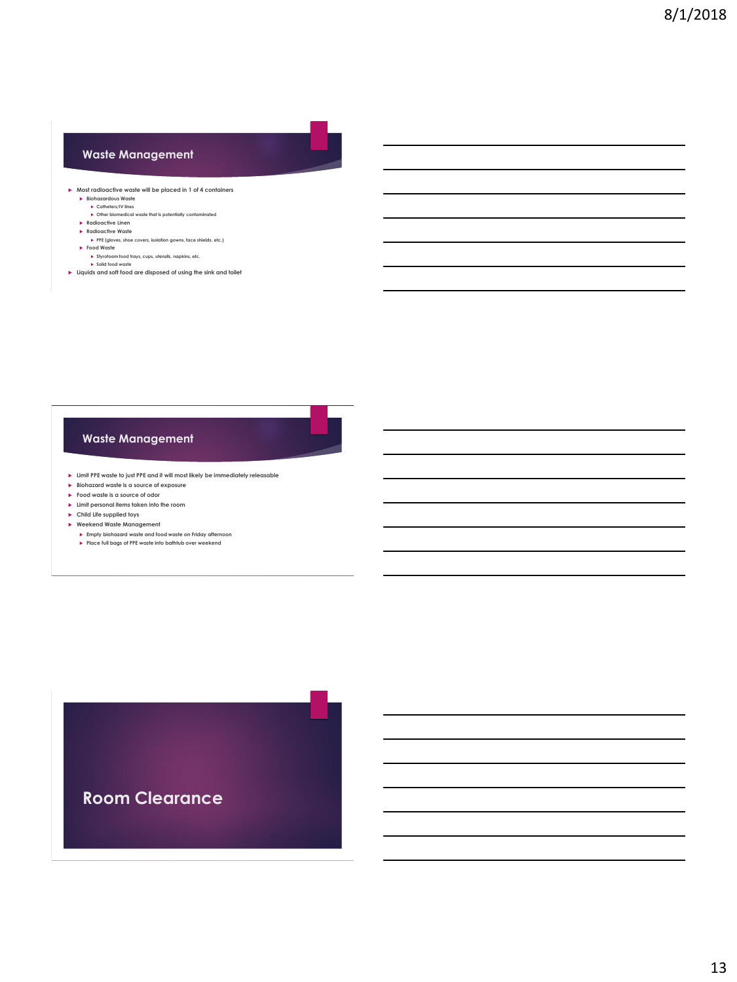#### **Waste Management**

- **Most radioactive waste will be placed in 1 of 4 containers Biohazardous Waste Catheters/IV lines Other biomedical waste that is potentially contaminated**
	-
	-
	- **▶ Radioactive Linen<br>▶ Radioactive Waste<br>→ PPE (gloves, shoe covers, isolation gowns, face shields, etc.)<br>▶ Food Waste**
	-
	-
	- **Styrofoam food trays, cups, utensils, napkins, etc. Solid food waste**
- **Liquids and soft food are disposed of using the sink and toilet**

#### **Waste Management**

- **Limit PPE waste to just PPE and it will most likely be immediately releasable**
- **Biohazard waste is a source of exposure**
- **Food waste is a source of odor**
- **Limit personal items taken into the room**
- **Child Life supplied toys**
- **Weekend Waste Management**
	- **Empty biohazard waste and food waste on Friday afternoon Place full bags of PPE waste into bathtub over weekend**

**Room Clearance**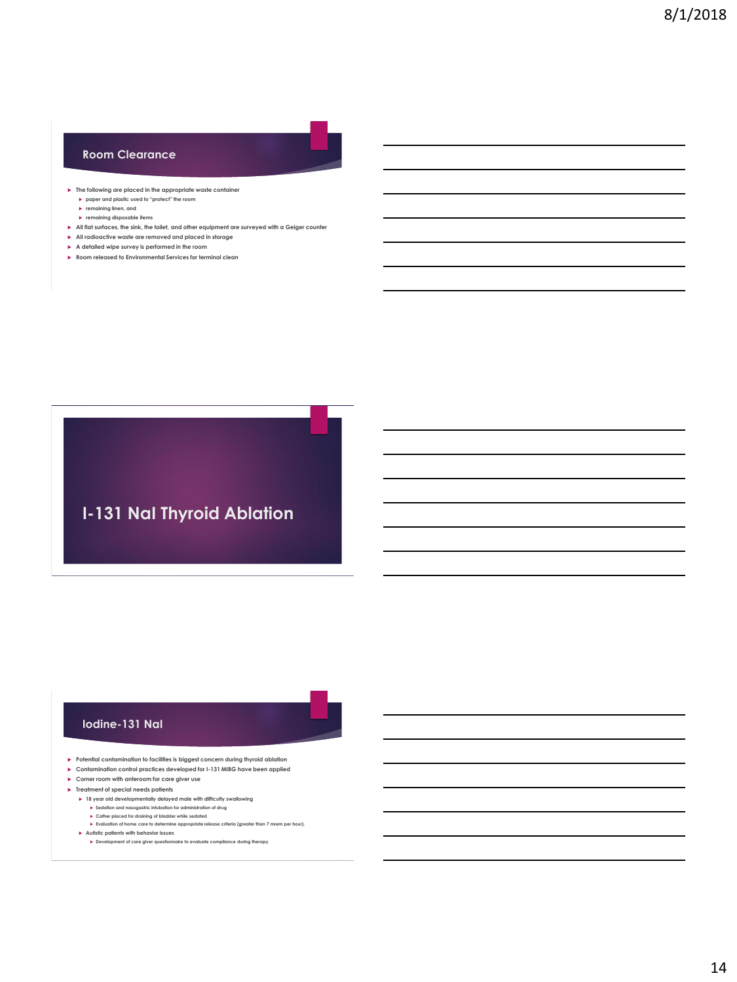#### **Room Clearance**

- **The following are placed in the appropriate waste container paper and plastic used to "protect" the room**
	- **remaining linen, and**
	- **remaining disposable items**
- **All flat surfaces, the sink, the toilet, and other equipment are surveyed with a Geiger counter**
- **All radioactive waste are removed and placed in storage**
- **A detailed wipe survey is performed in the room**
- **Room released to Environmental Services for terminal clean**



#### **Iodine-131 NaI**

- **Potential contamination to facilities is biggest concern during thyroid ablation**
- **Contamination control practices developed for I-131 MIBG have been applied**
- **Corner room with anteroom for care giver use**
- **Treatment of special needs patients**
	- **18 year old developmentally delayed male with difficulty swallowing Sedation and nasogastric intubation for administration of drug Cather placed for draining of bladder while sedated**
	- **Evaluation of home care to determine appropriate release criteria (greater than 7 mrem per hour). Autistic patients with behavior issues**
	- **Development of care giver questionnaire to evaluate compliance during therapy**